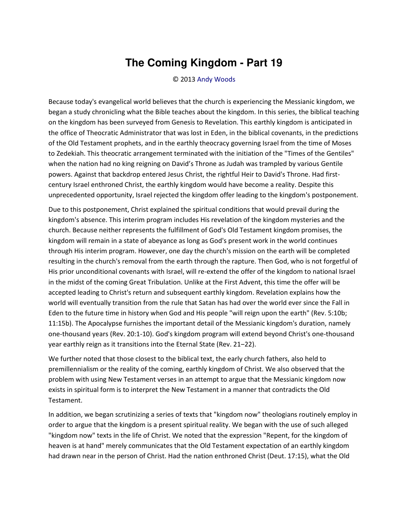## **The Coming Kingdom - Part 19**

© 2013 [Andy Woods](http://www.spiritandtruth.org/id/aw.htm)

Because today's evangelical world believes that the church is experiencing the Messianic kingdom, we began a study chronicling what the Bible teaches about the kingdom. In this series, the biblical teaching on the kingdom has been surveyed from Genesis to Revelation. This earthly kingdom is anticipated in the office of Theocratic Administrator that was lost in Eden, in the biblical covenants, in the predictions of the Old Testament prophets, and in the earthly theocracy governing Israel from the time of Moses to Zedekiah. This theocratic arrangement terminated with the initiation of the "Times of the Gentiles" when the nation had no king reigning on David's Throne as Judah was trampled by various Gentile powers. Against that backdrop entered Jesus Christ, the rightful Heir to David's Throne. Had firstcentury Israel enthroned Christ, the earthly kingdom would have become a reality. Despite this unprecedented opportunity, Israel rejected the kingdom offer leading to the kingdom's postponement.

Due to this postponement, Christ explained the spiritual conditions that would prevail during the kingdom's absence. This interim program includes His revelation of the kingdom mysteries and the church. Because neither represents the fulfillment of God's Old Testament kingdom promises, the kingdom will remain in a state of abeyance as long as God's present work in the world continues through His interim program. However, one day the church's mission on the earth will be completed resulting in the church's removal from the earth through the rapture. Then God, who is not forgetful of His prior unconditional covenants with Israel, will re-extend the offer of the kingdom to national Israel in the midst of the coming Great Tribulation. Unlike at the First Advent, this time the offer will be accepted leading to Christ's return and subsequent earthly kingdom. Revelation explains how the world will eventually transition from the rule that Satan has had over the world ever since the Fall in Eden to the future time in history when God and His people "will reign upon the earth" (Rev. 5:10b; 11:15b). The Apocalypse furnishes the important detail of the Messianic kingdom's duration, namely one-thousand years (Rev. 20:1-10). God's kingdom program will extend beyond Christ's one-thousand vear earthly reign as it transitions into the Eternal State (Rev. 21-22).

We further noted that those closest to the biblical text, the early church fathers, also held to premillennialism or the reality of the coming, earthly kingdom of Christ. We also observed that the problem with using New Testament verses in an attempt to argue that the Messianic kingdom now exists in spiritual form is to interpret the New Testament in a manner that contradicts the Old Testament.

In addition, we began scrutinizing a series of texts that "kingdom now" theologians routinely employ in order to argue that the kingdom is a present spiritual reality. We began with the use of such alleged "kingdom now" texts in the life of Christ. We noted that the expression "Repent, for the kingdom of heaven is at hand" merely communicates that the Old Testament expectation of an earthly kingdom had drawn near in the person of Christ. Had the nation enthroned Christ (Deut. 17:15), what the Old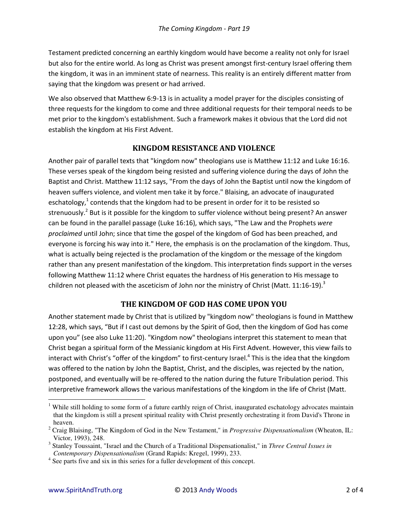Testament predicted concerning an earthly kingdom would have become a reality not only for Israel but also for the entire world. As long as Christ was present amongst first-century Israel offering them the kingdom, it was in an imminent state of nearness. This reality is an entirely different matter from saying that the kingdom was present or had arrived.

We also observed that Matthew 6:9-13 is in actuality a model prayer for the disciples consisting of three requests for the kingdom to come and three additional requests for their temporal needs to be met prior to the kingdom's establishment. Such a framework makes it obvious that the Lord did not establish the kingdom at His First Advent.

## **KINGDOM RESISTANCE AND VIOLENCE**

Another pair of parallel texts that "kingdom now" theologians use is Matthew 11:12 and Luke 16:16. These verses speak of the kingdom being resisted and suffering violence during the days of John the Baptist and Christ. Matthew 11:12 says, "From the days of John the Baptist until now the kingdom of heaven suffers violence, and violent men take it by force." Blaising, an advocate of inaugurated eschatology,<sup>1</sup> contends that the kingdom had to be present in order for it to be resisted so strenuously.<sup>2</sup> But is it possible for the kingdom to suffer violence without being present? An answer can be found in the parallel passage (Luke 16:16), which says, "The Law and the Prophets *were proclaimed* until John; since that time the gospel of the kingdom of God has been preached, and everyone is forcing his way into it." Here, the emphasis is on the proclamation of the kingdom. Thus, what is actually being rejected is the proclamation of the kingdom or the message of the kingdom rather than any present manifestation of the kingdom. This interpretation finds support in the verses following Matthew 11:12 where Christ equates the hardness of His generation to His message to children not pleased with the asceticism of John nor the ministry of Christ (Matt. 11:16-19).<sup>3</sup>

## **THE KINGDOM OF GOD HAS COME UPON YOU**

Another statement made by Christ that is utilized by "kingdom now" theologians is found in Matthew 12:28, which says, "But if I cast out demons by the Spirit of God, then the kingdom of God has come upon you" (see also Luke 11:20). "Kingdom now" theologians interpret this statement to mean that Christ began a spiritual form of the Messianic kingdom at His First Advent. However, this view fails to interact with Christ's "offer of the kingdom" to first-century Israel.<sup>4</sup> This is the idea that the kingdom was offered to the nation by John the Baptist, Christ, and the disciples, was rejected by the nation, postponed, and eventually will be re-offered to the nation during the future Tribulation period. This interpretive framework allows the various manifestations of the kingdom in the life of Christ (Matt.

 $\overline{a}$ 

<sup>&</sup>lt;sup>1</sup> While still holding to some form of a future earthly reign of Christ, inaugurated eschatology advocates maintain that the kingdom is still a present spiritual reality with Christ presently orchestrating it from David's Throne in heaven.

<sup>2</sup> Craig Blaising, "The Kingdom of God in the New Testament," in *Progressive Dispensationalism* (Wheaton, IL: Victor, 1993), 248.

<sup>3</sup> Stanley Toussaint, "Israel and the Church of a Traditional Dispensationalist," in *Three Central Issues in Contemporary Dispensationalism* (Grand Rapids: Kregel, 1999), 233.

<sup>&</sup>lt;sup>4</sup> See parts five and six in this series for a fuller development of this concept.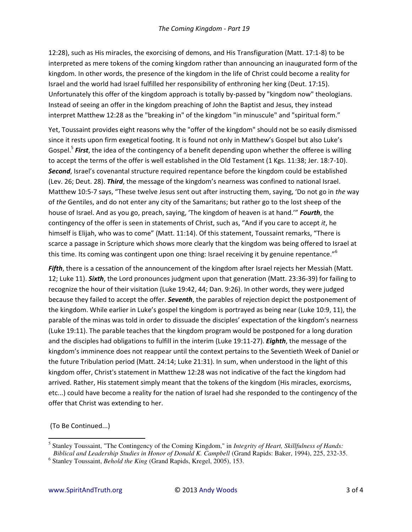12:28), such as His miracles, the exorcising of demons, and His Transfiguration (Matt. 17:1-8) to be interpreted as mere tokens of the coming kingdom rather than announcing an inaugurated form of the kingdom. In other words, the presence of the kingdom in the life of Christ could become a reality for Israel and the world had Israel fulfilled her responsibility of enthroning her king (Deut. 17:15). Unfortunately this offer of the kingdom approach is totally by-passed by "kingdom now" theologians. Instead of seeing an offer in the kingdom preaching of John the Baptist and Jesus, they instead interpret Matthew 12:28 as the "breaking in" of the kingdom "in minuscule" and "spiritual form."

Yet, Toussaint provides eight reasons why the "offer of the kingdom" should not be so easily dismissed since it rests upon firm exegetical footing. It is found not only in Matthew's Gospel but also Luke's Gospel.<sup>5</sup> First, the idea of the contingency of a benefit depending upon whether the offeree is willing to accept the terms of the offer is well established in the Old Testament (1 Kgs. 11:38; Jer. 18:7-10). Second, Israel's covenantal structure required repentance before the kingdom could be established (Lev. 26; Deut. 28). Third, the message of the kingdom's nearness was confined to national Israel. Matthew 10:5-7 says, "These twelve Jesus sent out after instructing them, saying, 'Do not go in the way of the Gentiles, and do not enter any city of the Samaritans; but rather go to the lost sheep of the house of Israel. And as you go, preach, saying, 'The kingdom of heaven is at hand.'" Fourth, the contingency of the offer is seen in statements of Christ, such as, "And if you care to accept it, he himself is Elijah, who was to come" (Matt. 11:14). Of this statement, Toussaint remarks, "There is scarce a passage in Scripture which shows more clearly that the kingdom was being offered to Israel at this time. Its coming was contingent upon one thing: Israel receiving it by genuine repentance."<sup>6</sup>

Fifth, there is a cessation of the announcement of the kingdom after Israel rejects her Messiah (Matt. 12; Luke 11). Sixth, the Lord pronounces judgment upon that generation (Matt. 23:36-39) for failing to recognize the hour of their visitation (Luke 19:42, 44; Dan. 9:26). In other words, they were judged because they failed to accept the offer. Seventh, the parables of rejection depict the postponement of the kingdom. While earlier in Luke's gospel the kingdom is portrayed as being near (Luke 10:9, 11), the parable of the minas was told in order to dissuade the disciples' expectation of the kingdom's nearness (Luke 19:11). The parable teaches that the kingdom program would be postponed for a long duration and the disciples had obligations to fulfill in the interim (Luke 19:11-27). **Eighth**, the message of the kingdom's imminence does not reappear until the context pertains to the Seventieth Week of Daniel or the future Tribulation period (Matt. 24:14; Luke 21:31). In sum, when understood in the light of this kingdom offer, Christ's statement in Matthew 12:28 was not indicative of the fact the kingdom had arrived. Rather, His statement simply meant that the tokens of the kingdom (His miracles, exorcisms, etc...) could have become a reality for the nation of Israel had she responded to the contingency of the offer that Christ was extending to her.

(To Be Continued...)

<sup>&</sup>lt;sup>5</sup> Stanley Toussaint, "The Contingency of the Coming Kingdom," in *Integrity of Heart, Skillfulness of Hands:* Biblical and Leadership Studies in Honor of Donald K. Campbell (Grand Rapids: Baker, 1994), 225, 232-35.

 $6$  Stanley Toussaint, *Behold the King* (Grand Rapids, Kregel, 2005), 153.